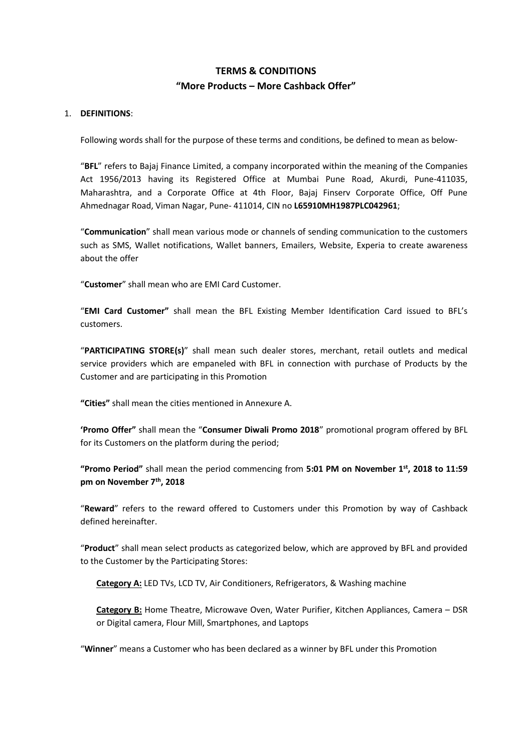## **TERMS & CONDITIONS "More Products – More Cashback Offer"**

## 1. **DEFINITIONS**:

Following words shall for the purpose of these terms and conditions, be defined to mean as below-

"**BFL**" refers to Bajaj Finance Limited, a company incorporated within the meaning of the Companies Act 1956/2013 having its Registered Office at Mumbai Pune Road, Akurdi, Pune-411035, Maharashtra, and a Corporate Office at 4th Floor, Bajaj Finserv Corporate Office, Off Pune Ahmednagar Road, Viman Nagar, Pune- 411014, CIN no **L65910MH1987PLC042961**;

"**Communication**" shall mean various mode or channels of sending communication to the customers such as SMS, Wallet notifications, Wallet banners, Emailers, Website, Experia to create awareness about the offer

"**Customer**" shall mean who are EMI Card Customer.

"**EMI Card Customer"** shall mean the BFL Existing Member Identification Card issued to BFL's customers.

"**PARTICIPATING STORE(s)**" shall mean such dealer stores, merchant, retail outlets and medical service providers which are empaneled with BFL in connection with purchase of Products by the Customer and are participating in this Promotion

**"Cities"** shall mean the cities mentioned in Annexure A.

**'Promo Offer"** shall mean the "**Consumer Diwali Promo 2018**" promotional program offered by BFL for its Customers on the platform during the period;

**"Promo Period"** shall mean the period commencing from **5:01 PM on November 1st, 2018 to 11:59 pm on November 7th, 2018**

"**Reward**" refers to the reward offered to Customers under this Promotion by way of Cashback defined hereinafter.

"**Product**" shall mean select products as categorized below, which are approved by BFL and provided to the Customer by the Participating Stores:

**Category A:** LED TVs, LCD TV, Air Conditioners, Refrigerators, & Washing machine

**Category B:** Home Theatre, Microwave Oven, Water Purifier, Kitchen Appliances, Camera – DSR or Digital camera, Flour Mill, Smartphones, and Laptops

"**Winner**" means a Customer who has been declared as a winner by BFL under this Promotion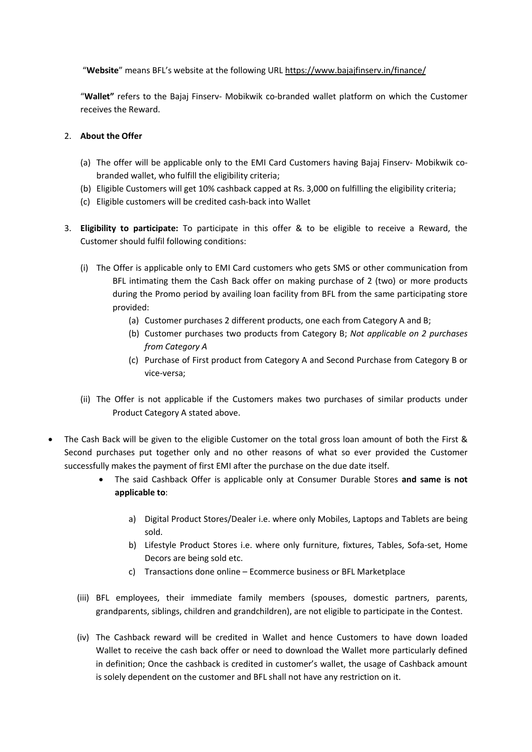"**Website**" means BFL's website at the following URL<https://www.bajajfinserv.in/finance/>

"**Wallet"** refers to the Bajaj Finserv- Mobikwik co-branded wallet platform on which the Customer receives the Reward.

## 2. **About the Offer**

- (a) The offer will be applicable only to the EMI Card Customers having Bajaj Finserv- Mobikwik cobranded wallet, who fulfill the eligibility criteria;
- (b) Eligible Customers will get 10% cashback capped at Rs. 3,000 on fulfilling the eligibility criteria;
- (c) Eligible customers will be credited cash-back into Wallet
- 3. **Eligibility to participate:** To participate in this offer & to be eligible to receive a Reward, the Customer should fulfil following conditions:
	- (i) The Offer is applicable only to EMI Card customers who gets SMS or other communication from BFL intimating them the Cash Back offer on making purchase of 2 (two) or more products during the Promo period by availing loan facility from BFL from the same participating store provided:
		- (a) Customer purchases 2 different products, one each from Category A and B;
		- (b) Customer purchases two products from Category B; *Not applicable on 2 purchases from Category A*
		- (c) Purchase of First product from Category A and Second Purchase from Category B or vice-versa;
	- (ii) The Offer is not applicable if the Customers makes two purchases of similar products under Product Category A stated above.
- The Cash Back will be given to the eligible Customer on the total gross loan amount of both the First & Second purchases put together only and no other reasons of what so ever provided the Customer successfully makes the payment of first EMI after the purchase on the due date itself.
	- The said Cashback Offer is applicable only at Consumer Durable Stores **and same is not applicable to**:
		- a) Digital Product Stores/Dealer i.e. where only Mobiles, Laptops and Tablets are being sold.
		- b) Lifestyle Product Stores i.e. where only furniture, fixtures, Tables, Sofa-set, Home Decors are being sold etc.
		- c) Transactions done online Ecommerce business or BFL Marketplace
	- (iii) BFL employees, their immediate family members (spouses, domestic partners, parents, grandparents, siblings, children and grandchildren), are not eligible to participate in the Contest.
	- (iv) The Cashback reward will be credited in Wallet and hence Customers to have down loaded Wallet to receive the cash back offer or need to download the Wallet more particularly defined in definition; Once the cashback is credited in customer's wallet, the usage of Cashback amount is solely dependent on the customer and BFL shall not have any restriction on it.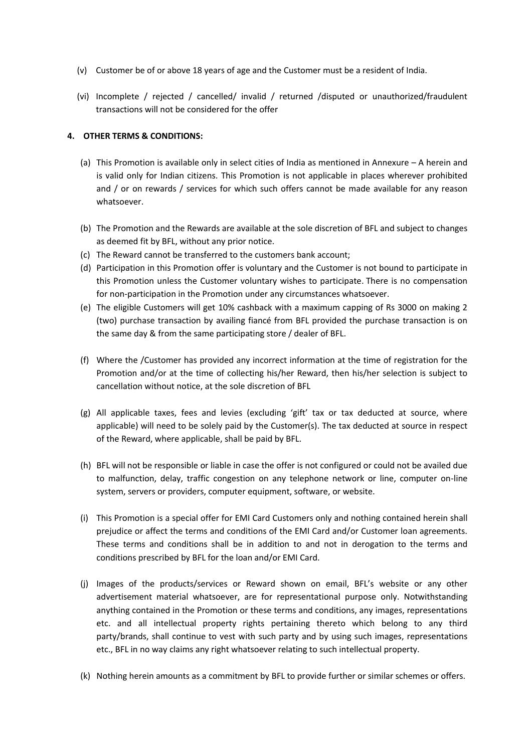- (v) Customer be of or above 18 years of age and the Customer must be a resident of India.
- (vi) Incomplete / rejected / cancelled/ invalid / returned /disputed or unauthorized/fraudulent transactions will not be considered for the offer

## **4. OTHER TERMS & CONDITIONS:**

- (a) This Promotion is available only in select cities of India as mentioned in Annexure A herein and is valid only for Indian citizens. This Promotion is not applicable in places wherever prohibited and / or on rewards / services for which such offers cannot be made available for any reason whatsoever.
- (b) The Promotion and the Rewards are available at the sole discretion of BFL and subject to changes as deemed fit by BFL, without any prior notice.
- (c) The Reward cannot be transferred to the customers bank account;
- (d) Participation in this Promotion offer is voluntary and the Customer is not bound to participate in this Promotion unless the Customer voluntary wishes to participate. There is no compensation for non-participation in the Promotion under any circumstances whatsoever.
- (e) The eligible Customers will get 10% cashback with a maximum capping of Rs 3000 on making 2 (two) purchase transaction by availing fiancé from BFL provided the purchase transaction is on the same day & from the same participating store / dealer of BFL.
- (f) Where the /Customer has provided any incorrect information at the time of registration for the Promotion and/or at the time of collecting his/her Reward, then his/her selection is subject to cancellation without notice, at the sole discretion of BFL
- (g) All applicable taxes, fees and levies (excluding 'gift' tax or tax deducted at source, where applicable) will need to be solely paid by the Customer(s). The tax deducted at source in respect of the Reward, where applicable, shall be paid by BFL.
- (h) BFL will not be responsible or liable in case the offer is not configured or could not be availed due to malfunction, delay, traffic congestion on any telephone network or line, computer on-line system, servers or providers, computer equipment, software, or website.
- (i) This Promotion is a special offer for EMI Card Customers only and nothing contained herein shall prejudice or affect the terms and conditions of the EMI Card and/or Customer loan agreements. These terms and conditions shall be in addition to and not in derogation to the terms and conditions prescribed by BFL for the loan and/or EMI Card.
- (j) Images of the products/services or Reward shown on email, BFL's website or any other advertisement material whatsoever, are for representational purpose only. Notwithstanding anything contained in the Promotion or these terms and conditions, any images, representations etc. and all intellectual property rights pertaining thereto which belong to any third party/brands, shall continue to vest with such party and by using such images, representations etc., BFL in no way claims any right whatsoever relating to such intellectual property.
- (k) Nothing herein amounts as a commitment by BFL to provide further or similar schemes or offers.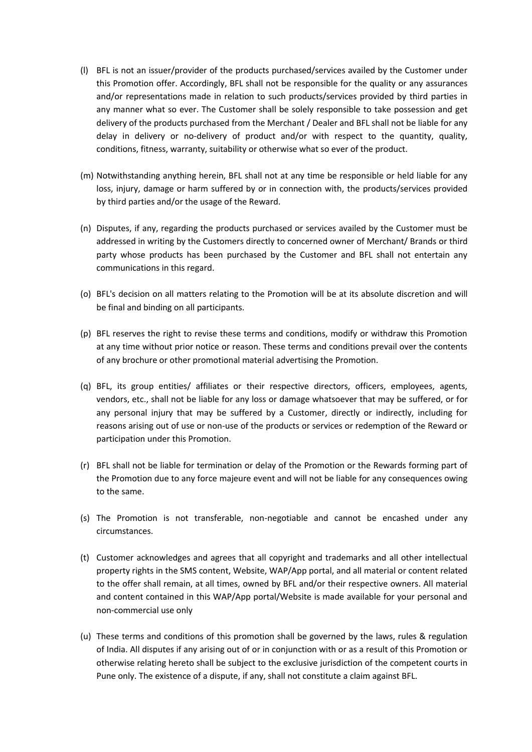- (l) BFL is not an issuer/provider of the products purchased/services availed by the Customer under this Promotion offer. Accordingly, BFL shall not be responsible for the quality or any assurances and/or representations made in relation to such products/services provided by third parties in any manner what so ever. The Customer shall be solely responsible to take possession and get delivery of the products purchased from the Merchant / Dealer and BFL shall not be liable for any delay in delivery or no-delivery of product and/or with respect to the quantity, quality, conditions, fitness, warranty, suitability or otherwise what so ever of the product.
- (m) Notwithstanding anything herein, BFL shall not at any time be responsible or held liable for any loss, injury, damage or harm suffered by or in connection with, the products/services provided by third parties and/or the usage of the Reward.
- (n) Disputes, if any, regarding the products purchased or services availed by the Customer must be addressed in writing by the Customers directly to concerned owner of Merchant/ Brands or third party whose products has been purchased by the Customer and BFL shall not entertain any communications in this regard.
- (o) BFL's decision on all matters relating to the Promotion will be at its absolute discretion and will be final and binding on all participants.
- (p) BFL reserves the right to revise these terms and conditions, modify or withdraw this Promotion at any time without prior notice or reason. These terms and conditions prevail over the contents of any brochure or other promotional material advertising the Promotion.
- (q) BFL, its group entities/ affiliates or their respective directors, officers, employees, agents, vendors, etc., shall not be liable for any loss or damage whatsoever that may be suffered, or for any personal injury that may be suffered by a Customer, directly or indirectly, including for reasons arising out of use or non-use of the products or services or redemption of the Reward or participation under this Promotion.
- (r) BFL shall not be liable for termination or delay of the Promotion or the Rewards forming part of the Promotion due to any force majeure event and will not be liable for any consequences owing to the same.
- (s) The Promotion is not transferable, non-negotiable and cannot be encashed under any circumstances.
- (t) Customer acknowledges and agrees that all copyright and trademarks and all other intellectual property rights in the SMS content, Website, WAP/App portal, and all material or content related to the offer shall remain, at all times, owned by BFL and/or their respective owners. All material and content contained in this WAP/App portal/Website is made available for your personal and non-commercial use only
- (u) These terms and conditions of this promotion shall be governed by the laws, rules & regulation of India. All disputes if any arising out of or in conjunction with or as a result of this Promotion or otherwise relating hereto shall be subject to the exclusive jurisdiction of the competent courts in Pune only. The existence of a dispute, if any, shall not constitute a claim against BFL.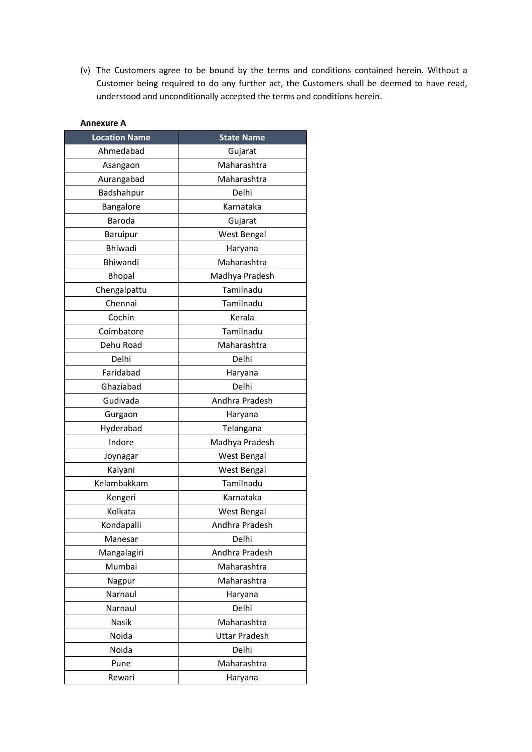(v) The Customers agree to be bound by the terms and conditions contained herein. Without a Customer being required to do any further act, the Customers shall be deemed to have read, understood and unconditionally accepted the terms and conditions herein.

| Annexure A           |                      |
|----------------------|----------------------|
| <b>Location Name</b> | <b>State Name</b>    |
| Ahmedabad            | Gujarat              |
| Asangaon             | Maharashtra          |
| Aurangabad           | Maharashtra          |
| Badshahpur           | Delhi                |
| Bangalore            | Karnataka            |
| Baroda               | Gujarat              |
| Baruipur             | West Bengal          |
| Bhiwadi              | Haryana              |
| Bhiwandi             | Maharashtra          |
| <b>Bhopal</b>        | Madhya Pradesh       |
| Chengalpattu         | Tamilnadu            |
| Chennai              | Tamilnadu            |
| Cochin               | Kerala               |
| Coimbatore           | Tamilnadu            |
| Dehu Road            | Maharashtra          |
| Delhi                | Delhi                |
| Faridabad            | Haryana              |
| Ghaziabad            | Delhi                |
| Gudivada             | Andhra Pradesh       |
| Gurgaon              | Haryana              |
| Hyderabad            | Telangana            |
| Indore               | Madhya Pradesh       |
| Joynagar             | West Bengal          |
| Kalyani              | <b>West Bengal</b>   |
| Kelambakkam          | Tamilnadu            |
| Kengeri              | Karnataka            |
| Kolkata              | West Bengal          |
| Kondapalli           | Andhra Pradesh       |
| Manesar              | Delhi                |
| Mangalagiri          | Andhra Pradesh       |
| Mumbai               | Maharashtra          |
| Nagpur               | Maharashtra          |
| Narnaul              | Haryana              |
| Narnaul              | Delhi                |
| Nasik                | Maharashtra          |
| Noida                | <b>Uttar Pradesh</b> |
| Noida                | Delhi                |
| Pune                 | Maharashtra          |
| Rewari               | Haryana              |